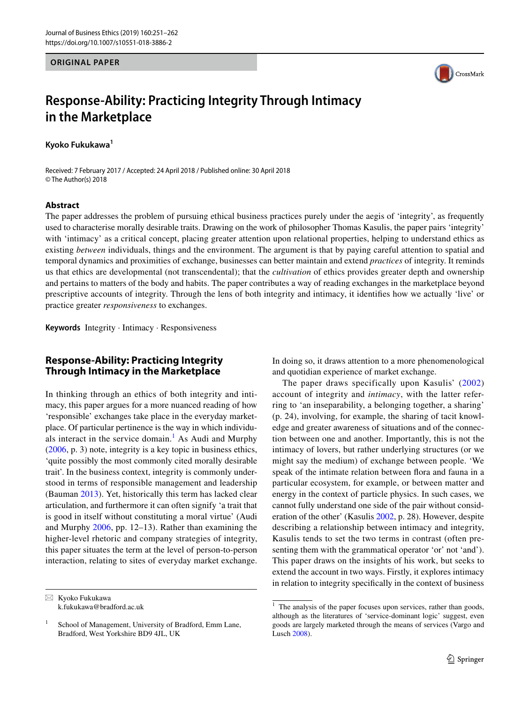#### **ORIGINAL PAPER**



# **Response-Ability: Practicing Integrity Through Intimacy in the Marketplace**

**Kyoko Fukukawa<sup>1</sup>**

Received: 7 February 2017 / Accepted: 24 April 2018 / Published online: 30 April 2018 © The Author(s) 2018

#### **Abstract**

The paper addresses the problem of pursuing ethical business practices purely under the aegis of 'integrity', as frequently used to characterise morally desirable traits. Drawing on the work of philosopher Thomas Kasulis, the paper pairs 'integrity' with 'intimacy' as a critical concept, placing greater attention upon relational properties, helping to understand ethics as existing *between* individuals, things and the environment. The argument is that by paying careful attention to spatial and temporal dynamics and proximities of exchange, businesses can better maintain and extend *practices* of integrity. It reminds us that ethics are developmental (not transcendental); that the *cultivation* of ethics provides greater depth and ownership and pertains to matters of the body and habits. The paper contributes a way of reading exchanges in the marketplace beyond prescriptive accounts of integrity. Through the lens of both integrity and intimacy, it identifies how we actually 'live' or practice greater *responsiveness* to exchanges.

**Keywords** Integrity · Intimacy · Responsiveness

# **Response‑Ability: Practicing Integrity Through Intimacy in the Marketplace**

In thinking through an ethics of both integrity and intimacy, this paper argues for a more nuanced reading of how 'responsible' exchanges take place in the everyday marketplace. Of particular pertinence is the way in which individu-als interact in the service domain.<sup>[1](#page-0-0)</sup> As Audi and Murphy [\(2006,](#page-11-0) p. 3) note, integrity is a key topic in business ethics, 'quite possibly the most commonly cited morally desirable trait'. In the business context, integrity is commonly understood in terms of responsible management and leadership (Bauman [2013\)](#page-11-1). Yet, historically this term has lacked clear articulation, and furthermore it can often signify 'a trait that is good in itself without constituting a moral virtue' (Audi and Murphy [2006,](#page-11-0) pp. 12–13). Rather than examining the higher-level rhetoric and company strategies of integrity, this paper situates the term at the level of person-to-person interaction, relating to sites of everyday market exchange.

 $\boxtimes$  Kyoko Fukukawa k.fukukawa@bradford.ac.uk In doing so, it draws attention to a more phenomenological and quotidian experience of market exchange.

The paper draws specifically upon Kasulis' ([2002\)](#page-11-2) account of integrity and *intimacy*, with the latter referring to 'an inseparability, a belonging together, a sharing' (p. 24), involving, for example, the sharing of tacit knowledge and greater awareness of situations and of the connection between one and another. Importantly, this is not the intimacy of lovers, but rather underlying structures (or we might say the medium) of exchange between people. 'We speak of the intimate relation between flora and fauna in a particular ecosystem, for example, or between matter and energy in the context of particle physics. In such cases, we cannot fully understand one side of the pair without consideration of the other' (Kasulis [2002,](#page-11-2) p. 28). However, despite describing a relationship between intimacy and integrity, Kasulis tends to set the two terms in contrast (often presenting them with the grammatical operator 'or' not 'and'). This paper draws on the insights of his work, but seeks to extend the account in two ways. Firstly, it explores intimacy in relation to integrity specifically in the context of business

 $1$  School of Management, University of Bradford, Emm Lane, Bradford, West Yorkshire BD9 4JL, UK

<span id="page-0-0"></span><sup>&</sup>lt;sup>1</sup> The analysis of the paper focuses upon services, rather than goods, although as the literatures of 'service-dominant logic' suggest, even goods are largely marketed through the means of services (Vargo and Lusch [2008\)](#page-11-3).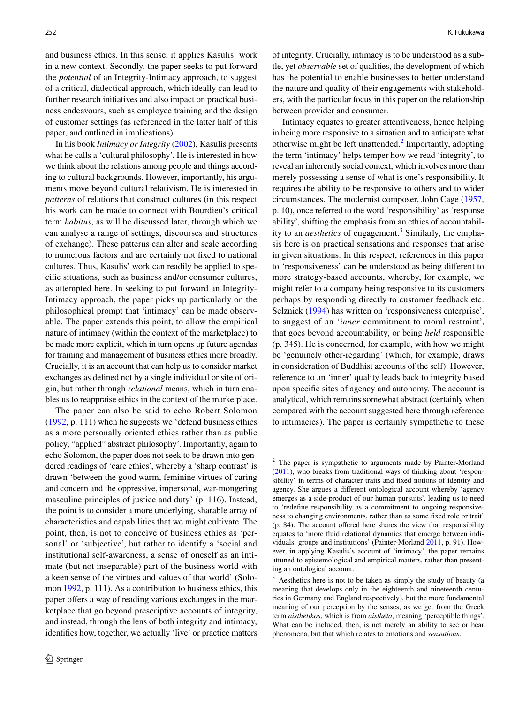and business ethics. In this sense, it applies Kasulis' work in a new context. Secondly, the paper seeks to put forward the *potential* of an Integrity-Intimacy approach, to suggest of a critical, dialectical approach, which ideally can lead to further research initiatives and also impact on practical business endeavours, such as employee training and the design of customer settings (as referenced in the latter half of this paper, and outlined in implications).

In his book *Intimacy or Integrity* ([2002](#page-11-2)), Kasulis presents what he calls a 'cultural philosophy'. He is interested in how we think about the relations among people and things according to cultural backgrounds. However, importantly, his arguments move beyond cultural relativism. He is interested in *patterns* of relations that construct cultures (in this respect his work can be made to connect with Bourdieu's critical term *habitus*, as will be discussed later, through which we can analyse a range of settings, discourses and structures of exchange). These patterns can alter and scale according to numerous factors and are certainly not fixed to national cultures. Thus, Kasulis' work can readily be applied to specific situations, such as business and/or consumer cultures, as attempted here. In seeking to put forward an Integrity-Intimacy approach, the paper picks up particularly on the philosophical prompt that 'intimacy' can be made observable. The paper extends this point, to allow the empirical nature of intimacy (within the context of the marketplace) to be made more explicit, which in turn opens up future agendas for training and management of business ethics more broadly. Crucially, it is an account that can help us to consider market exchanges as defined not by a single individual or site of origin, but rather through *relational* means, which in turn enables us to reappraise ethics in the context of the marketplace.

The paper can also be said to echo Robert Solomon [\(1992,](#page-11-4) p. 111) when he suggests we 'defend business ethics as a more personally oriented ethics rather than as public policy, "applied" abstract philosophy'. Importantly, again to echo Solomon, the paper does not seek to be drawn into gendered readings of 'care ethics', whereby a 'sharp contrast' is drawn 'between the good warm, feminine virtues of caring and concern and the oppressive, impersonal, war-mongering masculine principles of justice and duty' (p. 116). Instead, the point is to consider a more underlying, sharable array of characteristics and capabilities that we might cultivate. The point, then, is not to conceive of business ethics as 'personal' or 'subjective', but rather to identify a 'social and institutional self-awareness, a sense of oneself as an intimate (but not inseparable) part of the business world with a keen sense of the virtues and values of that world' (Solomon [1992](#page-11-4), p. 111). As a contribution to business ethics, this paper offers a way of reading various exchanges in the marketplace that go beyond prescriptive accounts of integrity, and instead, through the lens of both integrity and intimacy, identifies how, together, we actually 'live' or practice matters of integrity. Crucially, intimacy is to be understood as a subtle, yet *observable* set of qualities, the development of which has the potential to enable businesses to better understand the nature and quality of their engagements with stakeholders, with the particular focus in this paper on the relationship between provider and consumer.

Intimacy equates to greater attentiveness, hence helping in being more responsive to a situation and to anticipate what otherwise might be left unattended. $2$  Importantly, adopting the term 'intimacy' helps temper how we read 'integrity', to reveal an inherently social context, which involves more than merely possessing a sense of what is one's responsibility. It requires the ability to be responsive to others and to wider circumstances. The modernist composer, John Cage ([1957,](#page-11-5) p. 10), once referred to the word 'responsibility' as 'response ability', shifting the emphasis from an ethics of accountability to an *aesthetics* of engagement.<sup>[3](#page-1-1)</sup> Similarly, the emphasis here is on practical sensations and responses that arise in given situations. In this respect, references in this paper to 'responsiveness' can be understood as being different to more strategy-based accounts, whereby, for example, we might refer to a company being responsive to its customers perhaps by responding directly to customer feedback etc. Selznick ([1994\)](#page-11-6) has written on 'responsiveness enterprise', to suggest of an '*inner* commitment to moral restraint', that goes beyond accountability, or being *held* responsible (p. 345). He is concerned, for example, with how we might be 'genuinely other-regarding' (which, for example, draws in consideration of Buddhist accounts of the self). However, reference to an 'inner' quality leads back to integrity based upon specific sites of agency and autonomy. The account is analytical, which remains somewhat abstract (certainly when compared with the account suggested here through reference to intimacies). The paper is certainly sympathetic to these

<span id="page-1-0"></span><sup>2</sup> The paper is sympathetic to arguments made by Painter-Morland ([2011\)](#page-11-7), who breaks from traditional ways of thinking about 'responsibility' in terms of character traits and fixed notions of identity and agency. She argues a different ontological account whereby 'agency emerges as a side-product of our human pursuits', leading us to need to 'redefine responsibility as a commitment to ongoing responsiveness to changing environments, rather than as some fixed role or trait' (p. 84). The account offered here shares the view that responsibility equates to 'more fluid relational dynamics that emerge between individuals, groups and institutions' (Painter-Morland [2011](#page-11-7), p. 91). However, in applying Kasulis's account of 'intimacy', the paper remains attuned to epistemological and empirical matters, rather than presenting an ontological account.

<span id="page-1-1"></span><sup>&</sup>lt;sup>3</sup> Aesthetics here is not to be taken as simply the study of beauty (a meaning that develops only in the eighteenth and nineteenth centuries in Germany and England respectively), but the more fundamental meaning of our perception by the senses, as we get from the Greek term *aisthētikos*, which is from *aisthēta*, meaning 'perceptible things'. What can be included, then, is not merely an ability to see or hear phenomena, but that which relates to emotions and *sensations*.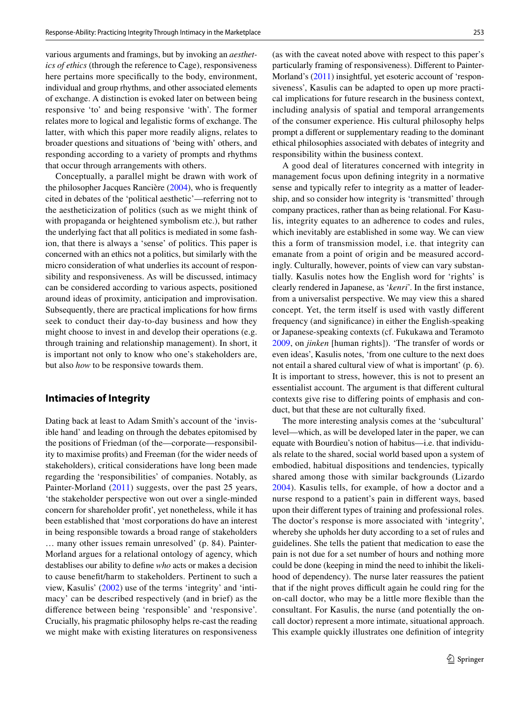various arguments and framings, but by invoking an *aesthetics of ethics* (through the reference to Cage), responsiveness here pertains more specifically to the body, environment, individual and group rhythms, and other associated elements of exchange. A distinction is evoked later on between being responsive 'to' and being responsive 'with'. The former relates more to logical and legalistic forms of exchange. The latter, with which this paper more readily aligns, relates to broader questions and situations of 'being with' others, and responding according to a variety of prompts and rhythms that occur through arrangements with others.

Conceptually, a parallel might be drawn with work of the philosopher Jacques Rancière ([2004](#page-11-8)), who is frequently cited in debates of the 'political aesthetic'—referring not to the aestheticization of politics (such as we might think of with propaganda or heightened symbolism etc.), but rather the underlying fact that all politics is mediated in some fashion, that there is always a 'sense' of politics. This paper is concerned with an ethics not a politics, but similarly with the micro consideration of what underlies its account of responsibility and responsiveness. As will be discussed, intimacy can be considered according to various aspects, positioned around ideas of proximity, anticipation and improvisation. Subsequently, there are practical implications for how firms seek to conduct their day-to-day business and how they might choose to invest in and develop their operations (e.g. through training and relationship management). In short, it is important not only to know who one's stakeholders are, but also *how* to be responsive towards them.

## **Intimacies of Integrity**

Dating back at least to Adam Smith's account of the 'invisible hand' and leading on through the debates epitomised by the positions of Friedman (of the—corporate—responsibility to maximise profits) and Freeman (for the wider needs of stakeholders), critical considerations have long been made regarding the 'responsibilities' of companies. Notably, as Painter-Morland ([2011\)](#page-11-7) suggests, over the past 25 years, 'the stakeholder perspective won out over a single-minded concern for shareholder profit', yet nonetheless, while it has been established that 'most corporations do have an interest in being responsible towards a broad range of stakeholders … many other issues remain unresolved' (p. 84). Painter-Morland argues for a relational ontology of agency, which destablises our ability to define *who* acts or makes a decision to cause benefit/harm to stakeholders. Pertinent to such a view, Kasulis' [\(2002\)](#page-11-2) use of the terms 'integrity' and 'intimacy' can be described respectively (and in brief) as the difference between being 'responsible' and 'responsive'. Crucially, his pragmatic philosophy helps re-cast the reading we might make with existing literatures on responsiveness

(as with the caveat noted above with respect to this paper's particularly framing of responsiveness). Different to Painter-Morland's [\(2011](#page-11-7)) insightful, yet esoteric account of 'responsiveness', Kasulis can be adapted to open up more practical implications for future research in the business context, including analysis of spatial and temporal arrangements of the consumer experience. His cultural philosophy helps prompt a different or supplementary reading to the dominant ethical philosophies associated with debates of integrity and responsibility within the business context.

A good deal of literatures concerned with integrity in management focus upon defining integrity in a normative sense and typically refer to integrity as a matter of leadership, and so consider how integrity is 'transmitted' through company practices, rather than as being relational. For Kasulis, integrity equates to an adherence to codes and rules, which inevitably are established in some way. We can view this a form of transmission model, i.e. that integrity can emanate from a point of origin and be measured accordingly. Culturally, however, points of view can vary substantially. Kasulis notes how the English word for 'rights' is clearly rendered in Japanese, as '*kenri*'. In the first instance, from a universalist perspective. We may view this a shared concept. Yet, the term itself is used with vastly different frequency (and significance) in either the English-speaking or Japanese-speaking contexts (cf. Fukukawa and Teramoto [2009](#page-11-9), on *jinken* [human rights]). 'The transfer of words or even ideas', Kasulis notes, 'from one culture to the next does not entail a shared cultural view of what is important' (p. 6). It is important to stress, however, this is not to present an essentialist account. The argument is that different cultural contexts give rise to differing points of emphasis and conduct, but that these are not culturally fixed.

The more interesting analysis comes at the 'subcultural' level—which, as will be developed later in the paper, we can equate with Bourdieu's notion of habitus—i.e. that individuals relate to the shared, social world based upon a system of embodied, habitual dispositions and tendencies, typically shared among those with similar backgrounds (Lizardo [2004\)](#page-11-10). Kasulis tells, for example, of how a doctor and a nurse respond to a patient's pain in different ways, based upon their different types of training and professional roles. The doctor's response is more associated with 'integrity', whereby she upholds her duty according to a set of rules and guidelines. She tells the patient that medication to ease the pain is not due for a set number of hours and nothing more could be done (keeping in mind the need to inhibit the likelihood of dependency). The nurse later reassures the patient that if the night proves difficult again he could ring for the on-call doctor, who may be a little more flexible than the consultant. For Kasulis, the nurse (and potentially the oncall doctor) represent a more intimate, situational approach. This example quickly illustrates one definition of integrity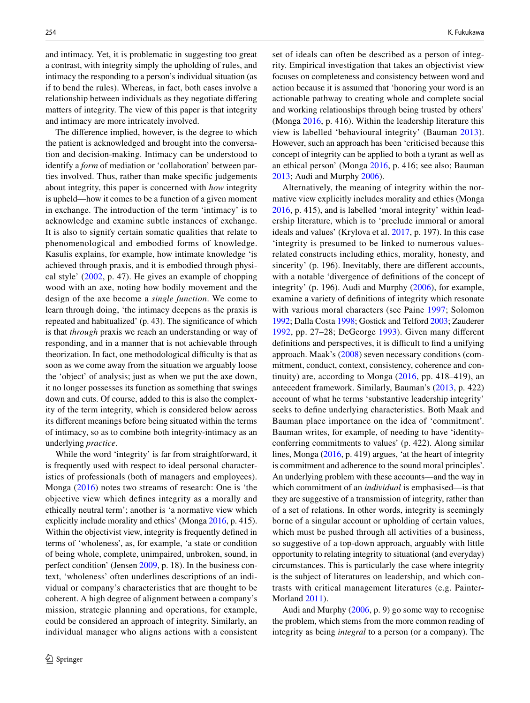and intimacy. Yet, it is problematic in suggesting too great a contrast, with integrity simply the upholding of rules, and intimacy the responding to a person's individual situation (as if to bend the rules). Whereas, in fact, both cases involve a relationship between individuals as they negotiate differing matters of integrity. The view of this paper is that integrity and intimacy are more intricately involved.

The difference implied, however, is the degree to which the patient is acknowledged and brought into the conversation and decision-making. Intimacy can be understood to identify a *form* of mediation or 'collaboration' between parties involved. Thus, rather than make specific judgements about integrity, this paper is concerned with *how* integrity is upheld—how it comes to be a function of a given moment in exchange. The introduction of the term 'intimacy' is to acknowledge and examine subtle instances of exchange. It is also to signify certain somatic qualities that relate to phenomenological and embodied forms of knowledge. Kasulis explains, for example, how intimate knowledge 'is achieved through praxis, and it is embodied through physical style' ([2002](#page-11-2), p. 47). He gives an example of chopping wood with an axe, noting how bodily movement and the design of the axe become a *single function*. We come to learn through doing, 'the intimacy deepens as the praxis is repeated and habitualized' (p. 43). The significance of which is that *through* praxis we reach an understanding or way of responding, and in a manner that is not achievable through theorization. In fact, one methodological difficulty is that as soon as we come away from the situation we arguably loose the 'object' of analysis; just as when we put the axe down, it no longer possesses its function as something that swings down and cuts. Of course, added to this is also the complexity of the term integrity, which is considered below across its different meanings before being situated within the terms of intimacy, so as to combine both integrity-intimacy as an underlying *practice*.

While the word 'integrity' is far from straightforward, it is frequently used with respect to ideal personal characteristics of professionals (both of managers and employees). Monga [\(2016](#page-11-11)) notes two streams of research: One is 'the objective view which defines integrity as a morally and ethically neutral term'; another is 'a normative view which explicitly include morality and ethics' (Monga [2016](#page-11-11), p. 415). Within the objectivist view, integrity is frequently defined in terms of 'wholeness', as, for example, 'a state or condition of being whole, complete, unimpaired, unbroken, sound, in perfect condition' (Jensen [2009,](#page-11-12) p. 18). In the business context, 'wholeness' often underlines descriptions of an individual or company's characteristics that are thought to be coherent. A high degree of alignment between a company's mission, strategic planning and operations, for example, could be considered an approach of integrity. Similarly, an individual manager who aligns actions with a consistent set of ideals can often be described as a person of integrity. Empirical investigation that takes an objectivist view focuses on completeness and consistency between word and action because it is assumed that 'honoring your word is an actionable pathway to creating whole and complete social and working relationships through being trusted by others' (Monga [2016,](#page-11-11) p. 416). Within the leadership literature this view is labelled 'behavioural integrity' (Bauman [2013](#page-11-1)). However, such an approach has been 'criticised because this concept of integrity can be applied to both a tyrant as well as an ethical person' (Monga [2016](#page-11-11), p. 416; see also; Bauman [2013](#page-11-1); Audi and Murphy [2006](#page-11-0)).

Alternatively, the meaning of integrity within the normative view explicitly includes morality and ethics (Monga [2016](#page-11-11), p. 415), and is labelled 'moral integrity' within leadership literature, which is to 'preclude immoral or amoral ideals and values' (Krylova et al. [2017,](#page-11-13) p. 197). In this case 'integrity is presumed to be linked to numerous valuesrelated constructs including ethics, morality, honesty, and sincerity' (p. 196). Inevitably, there are different accounts, with a notable 'divergence of definitions of the concept of integrity' (p. 196). Audi and Murphy [\(2006\)](#page-11-0), for example, examine a variety of definitions of integrity which resonate with various moral characters (see Paine [1997;](#page-11-14) Solomon [1992;](#page-11-4) Dalla Costa [1998;](#page-11-15) Gostick and Telford [2003;](#page-11-16) Zauderer [1992,](#page-11-17) pp. 27–28; DeGeorge [1993](#page-11-18)). Given many different definitions and perspectives, it is difficult to find a unifying approach. Maak's [\(2008](#page-11-19)) seven necessary conditions (commitment, conduct, context, consistency, coherence and continuity) are, according to Monga  $(2016, pp. 418-419)$  $(2016, pp. 418-419)$  $(2016, pp. 418-419)$ , an antecedent framework. Similarly, Bauman's ([2013,](#page-11-1) p. 422) account of what he terms 'substantive leadership integrity' seeks to define underlying characteristics. Both Maak and Bauman place importance on the idea of 'commitment'. Bauman writes, for example, of needing to have 'identityconferring commitments to values' (p. 422). Along similar lines, Monga ([2016,](#page-11-11) p. 419) argues, 'at the heart of integrity is commitment and adherence to the sound moral principles'. An underlying problem with these accounts—and the way in which commitment of an *individual* is emphasised—is that they are suggestive of a transmission of integrity, rather than of a set of relations. In other words, integrity is seemingly borne of a singular account or upholding of certain values, which must be pushed through all activities of a business, so suggestive of a top-down approach, arguably with little opportunity to relating integrity to situational (and everyday) circumstances. This is particularly the case where integrity is the subject of literatures on leadership, and which contrasts with critical management literatures (e.g. Painter-Morland [2011](#page-11-7)).

Audi and Murphy ([2006](#page-11-0), p. 9) go some way to recognise the problem, which stems from the more common reading of integrity as being *integral* to a person (or a company). The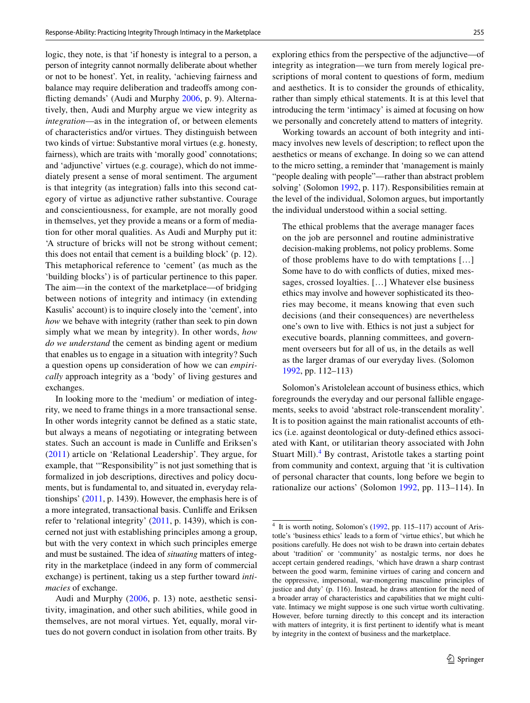logic, they note, is that 'if honesty is integral to a person, a person of integrity cannot normally deliberate about whether or not to be honest'. Yet, in reality, 'achieving fairness and balance may require deliberation and tradeoffs among conflicting demands' (Audi and Murphy [2006,](#page-11-0) p. 9). Alternatively, then, Audi and Murphy argue we view integrity as *integration*—as in the integration of, or between elements of characteristics and/or virtues. They distinguish between two kinds of virtue: Substantive moral virtues (e.g. honesty, fairness), which are traits with 'morally good' connotations; and 'adjunctive' virtues (e.g. courage), which do not immediately present a sense of moral sentiment. The argument is that integrity (as integration) falls into this second category of virtue as adjunctive rather substantive. Courage and conscientiousness, for example, are not morally good in themselves, yet they provide a means or a form of mediation for other moral qualities. As Audi and Murphy put it: 'A structure of bricks will not be strong without cement; this does not entail that cement is a building block' (p. 12). This metaphorical reference to 'cement' (as much as the 'building blocks') is of particular pertinence to this paper. The aim—in the context of the marketplace—of bridging between notions of integrity and intimacy (in extending Kasulis' account) is to inquire closely into the 'cement', into *how* we behave with integrity (rather than seek to pin down simply what we mean by integrity). In other words, *how do we understand* the cement as binding agent or medium that enables us to engage in a situation with integrity? Such a question opens up consideration of how we can *empirically* approach integrity as a 'body' of living gestures and exchanges.

In looking more to the 'medium' or mediation of integrity, we need to frame things in a more transactional sense. In other words integrity cannot be defined as a static state, but always a means of negotiating or integrating between states. Such an account is made in Cunliffe and Eriksen's [\(2011\)](#page-11-20) article on 'Relational Leadership'. They argue, for example, that '"Responsibility" is not just something that is formalized in job descriptions, directives and policy documents, but is fundamental to, and situated in, everyday relationships' ([2011,](#page-11-20) p. 1439). However, the emphasis here is of a more integrated, transactional basis. Cunliffe and Eriksen refer to 'relational integrity' ([2011,](#page-11-20) p. 1439), which is concerned not just with establishing principles among a group, but with the very context in which such principles emerge and must be sustained. The idea of *situating* matters of integrity in the marketplace (indeed in any form of commercial exchange) is pertinent, taking us a step further toward *intimacies* of exchange.

exploring ethics from the perspective of the adjunctive—of integrity as integration—we turn from merely logical prescriptions of moral content to questions of form, medium and aesthetics. It is to consider the grounds of ethicality, rather than simply ethical statements. It is at this level that introducing the term 'intimacy' is aimed at focusing on how we personally and concretely attend to matters of integrity.

Working towards an account of both integrity and intimacy involves new levels of description; to reflect upon the aesthetics or means of exchange. In doing so we can attend to the micro setting, a reminder that 'management is mainly "people dealing with people"—rather than abstract problem solving' (Solomon [1992,](#page-11-4) p. 117). Responsibilities remain at the level of the individual, Solomon argues, but importantly the individual understood within a social setting.

The ethical problems that the average manager faces on the job are personnel and routine administrative decision-making problems, not policy problems. Some of those problems have to do with temptations […] Some have to do with conflicts of duties, mixed messages, crossed loyalties. […] Whatever else business ethics may involve and however sophisticated its theories may become, it means knowing that even such decisions (and their consequences) are nevertheless one's own to live with. Ethics is not just a subject for executive boards, planning committees, and government overseers but for all of us, in the details as well as the larger dramas of our everyday lives. (Solomon [1992,](#page-11-4) pp. 112–113)

Solomon's Aristolelean account of business ethics, which foregrounds the everyday and our personal fallible engagements, seeks to avoid 'abstract role-transcendent morality'. It is to position against the main rationalist accounts of ethics (i.e. against deontological or duty-defined ethics associated with Kant, or utilitarian theory associated with John Stuart Mill).<sup>[4](#page-4-0)</sup> By contrast, Aristotle takes a starting point from community and context, arguing that 'it is cultivation of personal character that counts, long before we begin to rationalize our actions' (Solomon [1992](#page-11-4), pp. 113–114). In

Audi and Murphy [\(2006](#page-11-0), p. 13) note, aesthetic sensitivity, imagination, and other such abilities, while good in themselves, are not moral virtues. Yet, equally, moral virtues do not govern conduct in isolation from other traits. By

<span id="page-4-0"></span><sup>4</sup> It is worth noting, Solomon's ([1992,](#page-11-4) pp. 115–117) account of Aristotle's 'business ethics' leads to a form of 'virtue ethics', but which he positions carefully. He does not wish to be drawn into certain debates about 'tradition' or 'community' as nostalgic terms, nor does he accept certain gendered readings, 'which have drawn a sharp contrast between the good warm, feminine virtues of caring and concern and the oppressive, impersonal, war-mongering masculine principles of justice and duty' (p. 116). Instead, he draws attention for the need of a broader array of characteristics and capabilities that we might cultivate. Intimacy we might suppose is one such virtue worth cultivating. However, before turning directly to this concept and its interaction with matters of integrity, it is first pertinent to identify what is meant by integrity in the context of business and the marketplace.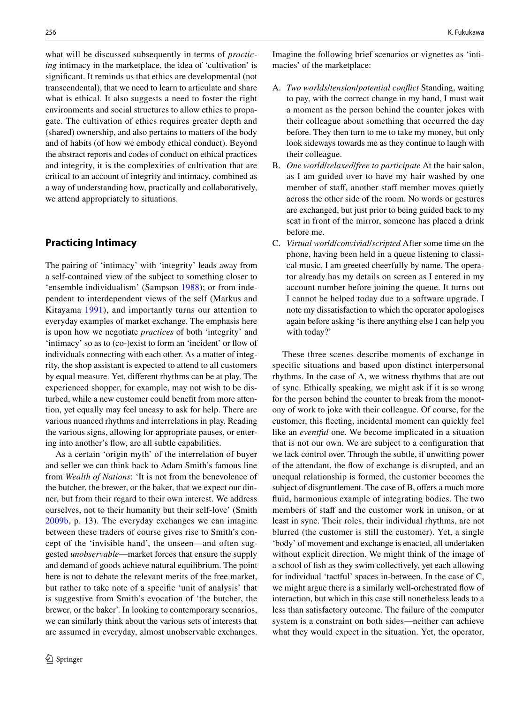what will be discussed subsequently in terms of *practicing* intimacy in the marketplace, the idea of 'cultivation' is significant. It reminds us that ethics are developmental (not transcendental), that we need to learn to articulate and share what is ethical. It also suggests a need to foster the right environments and social structures to allow ethics to propagate. The cultivation of ethics requires greater depth and (shared) ownership, and also pertains to matters of the body and of habits (of how we embody ethical conduct). Beyond the abstract reports and codes of conduct on ethical practices and integrity, it is the complexities of cultivation that are critical to an account of integrity and intimacy, combined as a way of understanding how, practically and collaboratively, we attend appropriately to situations.

## **Practicing Intimacy**

The pairing of 'intimacy' with 'integrity' leads away from a self-contained view of the subject to something closer to 'ensemble individualism' (Sampson [1988](#page-11-21)); or from independent to interdependent views of the self (Markus and Kitayama [1991](#page-11-22)), and importantly turns our attention to everyday examples of market exchange. The emphasis here is upon how we negotiate *practices* of both 'integrity' and 'intimacy' so as to (co-)exist to form an 'incident' or flow of individuals connecting with each other. As a matter of integrity, the shop assistant is expected to attend to all customers by equal measure. Yet, different rhythms can be at play. The experienced shopper, for example, may not wish to be disturbed, while a new customer could benefit from more attention, yet equally may feel uneasy to ask for help. There are various nuanced rhythms and interrelations in play. Reading the various signs, allowing for appropriate pauses, or entering into another's flow, are all subtle capabilities.

As a certain 'origin myth' of the interrelation of buyer and seller we can think back to Adam Smith's famous line from *Wealth of Nations*: 'It is not from the benevolence of the butcher, the brewer, or the baker, that we expect our dinner, but from their regard to their own interest. We address ourselves, not to their humanity but their self-love' (Smith [2009b](#page-11-23), p. 13). The everyday exchanges we can imagine between these traders of course gives rise to Smith's concept of the 'invisible hand', the unseen—and often suggested *unobservable*—market forces that ensure the supply and demand of goods achieve natural equilibrium. The point here is not to debate the relevant merits of the free market, but rather to take note of a specific 'unit of analysis' that is suggestive from Smith's evocation of 'the butcher, the brewer, or the baker'. In looking to contemporary scenarios, we can similarly think about the various sets of interests that are assumed in everyday, almost unobservable exchanges. Imagine the following brief scenarios or vignettes as 'intimacies' of the marketplace:

- A. *Two worlds*/*tension*/*potential conflict* Standing, waiting to pay, with the correct change in my hand, I must wait a moment as the person behind the counter jokes with their colleague about something that occurred the day before. They then turn to me to take my money, but only look sideways towards me as they continue to laugh with their colleague.
- B. *One world*/*relaxed*/*free to participate* At the hair salon, as I am guided over to have my hair washed by one member of staff, another staff member moves quietly across the other side of the room. No words or gestures are exchanged, but just prior to being guided back to my seat in front of the mirror, someone has placed a drink before me.
- C. *Virtual world*/*convivial*/*scripted* After some time on the phone, having been held in a queue listening to classical music, I am greeted cheerfully by name. The operator already has my details on screen as I entered in my account number before joining the queue. It turns out I cannot be helped today due to a software upgrade. I note my dissatisfaction to which the operator apologises again before asking 'is there anything else I can help you with today?'

These three scenes describe moments of exchange in specific situations and based upon distinct interpersonal rhythms. In the case of A, we witness rhythms that are out of sync. Ethically speaking, we might ask if it is so wrong for the person behind the counter to break from the monotony of work to joke with their colleague. Of course, for the customer, this fleeting, incidental moment can quickly feel like an *eventful* one. We become implicated in a situation that is not our own. We are subject to a configuration that we lack control over. Through the subtle, if unwitting power of the attendant, the flow of exchange is disrupted, and an unequal relationship is formed, the customer becomes the subject of disgruntlement. The case of B, offers a much more fluid, harmonious example of integrating bodies. The two members of staff and the customer work in unison, or at least in sync. Their roles, their individual rhythms, are not blurred (the customer is still the customer). Yet, a single 'body' of movement and exchange is enacted, all undertaken without explicit direction. We might think of the image of a school of fish as they swim collectively, yet each allowing for individual 'tactful' spaces in-between. In the case of C, we might argue there is a similarly well-orchestrated flow of interaction, but which in this case still nonetheless leads to a less than satisfactory outcome. The failure of the computer system is a constraint on both sides—neither can achieve what they would expect in the situation. Yet, the operator,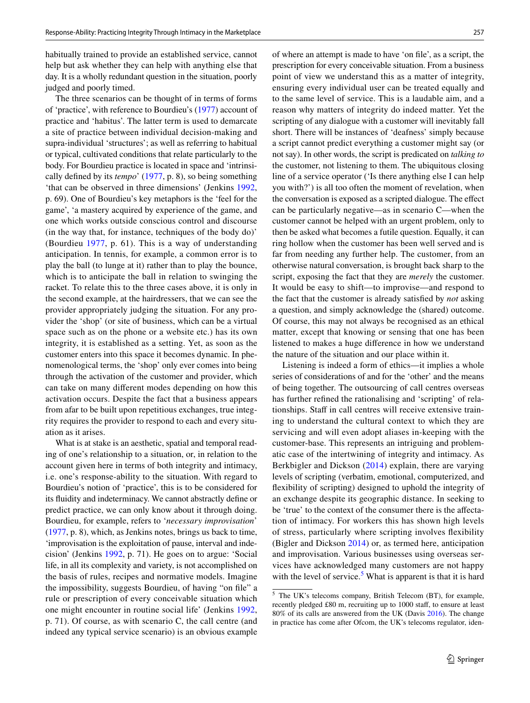habitually trained to provide an established service, cannot help but ask whether they can help with anything else that day. It is a wholly redundant question in the situation, poorly judged and poorly timed.

The three scenarios can be thought of in terms of forms of 'practice', with reference to Bourdieu's [\(1977](#page-11-24)) account of practice and 'habitus'. The latter term is used to demarcate a site of practice between individual decision-making and supra-individual 'structures'; as well as referring to habitual or typical, cultivated conditions that relate particularly to the body. For Bourdieu practice is located in space and 'intrinsically defined by its *tempo*' ([1977,](#page-11-24) p. 8), so being something 'that can be observed in three dimensions' (Jenkins [1992,](#page-11-25) p. 69). One of Bourdieu's key metaphors is the 'feel for the game', 'a mastery acquired by experience of the game, and one which works outside conscious control and discourse (in the way that, for instance, techniques of the body do)' (Bourdieu [1977](#page-11-24), p. 61). This is a way of understanding anticipation. In tennis, for example, a common error is to play the ball (to lunge at it) rather than to play the bounce, which is to anticipate the ball in relation to swinging the racket. To relate this to the three cases above, it is only in the second example, at the hairdressers, that we can see the provider appropriately judging the situation. For any provider the 'shop' (or site of business, which can be a virtual space such as on the phone or a website etc.) has its own integrity, it is established as a setting. Yet, as soon as the customer enters into this space it becomes dynamic. In phenomenological terms, the 'shop' only ever comes into being through the activation of the customer and provider, which can take on many different modes depending on how this activation occurs. Despite the fact that a business appears from afar to be built upon repetitious exchanges, true integrity requires the provider to respond to each and every situation as it arises.

What is at stake is an aesthetic, spatial and temporal reading of one's relationship to a situation, or, in relation to the account given here in terms of both integrity and intimacy, i.e. one's response-ability to the situation. With regard to Bourdieu's notion of 'practice', this is to be considered for its fluidity and indeterminacy. We cannot abstractly define or predict practice, we can only know about it through doing. Bourdieu, for example, refers to '*necessary improvisation*' [\(1977](#page-11-24), p. 8), which, as Jenkins notes, brings us back to time, 'improvisation is the exploitation of pause, interval and indecision' (Jenkins [1992,](#page-11-25) p. 71). He goes on to argue: 'Social life, in all its complexity and variety, is not accomplished on the basis of rules, recipes and normative models. Imagine the impossibility, suggests Bourdieu, of having "on file" a rule or prescription of every conceivable situation which one might encounter in routine social life' (Jenkins [1992,](#page-11-25) p. 71). Of course, as with scenario C, the call centre (and indeed any typical service scenario) is an obvious example of where an attempt is made to have 'on file', as a script, the prescription for every conceivable situation. From a business point of view we understand this as a matter of integrity, ensuring every individual user can be treated equally and to the same level of service. This is a laudable aim, and a reason why matters of integrity do indeed matter. Yet the scripting of any dialogue with a customer will inevitably fall short. There will be instances of 'deafness' simply because a script cannot predict everything a customer might say (or not say). In other words, the script is predicated on *talking to* the customer, not listening to them. The ubiquitous closing line of a service operator ('Is there anything else I can help you with?') is all too often the moment of revelation, when the conversation is exposed as a scripted dialogue. The effect can be particularly negative—as in scenario C—when the customer cannot be helped with an urgent problem, only to then be asked what becomes a futile question. Equally, it can ring hollow when the customer has been well served and is far from needing any further help. The customer, from an otherwise natural conversation, is brought back sharp to the script, exposing the fact that they are *merely* the customer. It would be easy to shift—to improvise—and respond to the fact that the customer is already satisfied by *not* asking a question, and simply acknowledge the (shared) outcome. Of course, this may not always be recognised as an ethical matter, except that knowing or sensing that one has been listened to makes a huge difference in how we understand the nature of the situation and our place within it.

Listening is indeed a form of ethics—it implies a whole series of considerations of and for the 'other' and the means of being together. The outsourcing of call centres overseas has further refined the rationalising and 'scripting' of relationships. Staff in call centres will receive extensive training to understand the cultural context to which they are servicing and will even adopt aliases in-keeping with the customer-base. This represents an intriguing and problematic case of the intertwining of integrity and intimacy. As Berkbigler and Dickson [\(2014\)](#page-11-26) explain, there are varying levels of scripting (verbatim, emotional, computerized, and flexibility of scripting) designed to uphold the integrity of an exchange despite its geographic distance. In seeking to be 'true' to the context of the consumer there is the affectation of intimacy. For workers this has shown high levels of stress, particularly where scripting involves flexibility (Bigler and Dickson [2014\)](#page-11-26) or, as termed here, anticipation and improvisation. Various businesses using overseas services have acknowledged many customers are not happy with the level of service.<sup>[5](#page-6-0)</sup> What is apparent is that it is hard

<span id="page-6-0"></span><sup>5</sup> The UK's telecoms company, British Telecom (BT), for example, recently pledged £80 m, recruiting up to 1000 staff, to ensure at least 80% of its calls are answered from the UK (Davis [2016](#page-11-27)). The change in practice has come after Ofcom, the UK's telecoms regulator, iden-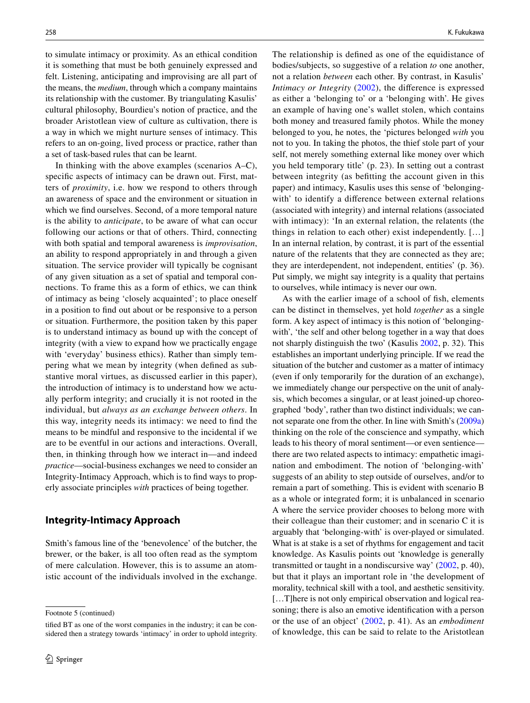to simulate intimacy or proximity. As an ethical condition it is something that must be both genuinely expressed and felt. Listening, anticipating and improvising are all part of the means, the *medium*, through which a company maintains its relationship with the customer. By triangulating Kasulis' cultural philosophy, Bourdieu's notion of practice, and the broader Aristotlean view of culture as cultivation, there is a way in which we might nurture senses of intimacy. This refers to an on-going, lived process or practice, rather than a set of task-based rules that can be learnt.

In thinking with the above examples (scenarios A–C), specific aspects of intimacy can be drawn out. First, matters of *proximity*, i.e. how we respond to others through an awareness of space and the environment or situation in which we find ourselves. Second, of a more temporal nature is the ability to *anticipate*, to be aware of what can occur following our actions or that of others. Third, connecting with both spatial and temporal awareness is *improvisation*, an ability to respond appropriately in and through a given situation. The service provider will typically be cognisant of any given situation as a set of spatial and temporal connections. To frame this as a form of ethics, we can think of intimacy as being 'closely acquainted'; to place oneself in a position to find out about or be responsive to a person or situation. Furthermore, the position taken by this paper is to understand intimacy as bound up with the concept of integrity (with a view to expand how we practically engage with 'everyday' business ethics). Rather than simply tempering what we mean by integrity (when defined as substantive moral virtues, as discussed earlier in this paper), the introduction of intimacy is to understand how we actually perform integrity; and crucially it is not rooted in the individual, but *always as an exchange between others*. In this way, integrity needs its intimacy: we need to find the means to be mindful and responsive to the incidental if we are to be eventful in our actions and interactions. Overall, then, in thinking through how we interact in—and indeed *practice*—social-business exchanges we need to consider an Integrity-Intimacy Approach, which is to find ways to properly associate principles *with* practices of being together.

## **Integrity‑Intimacy Approach**

Smith's famous line of the 'benevolence' of the butcher, the brewer, or the baker, is all too often read as the symptom of mere calculation. However, this is to assume an atomistic account of the individuals involved in the exchange.

The relationship is defined as one of the equidistance of bodies/subjects, so suggestive of a relation *to* one another, not a relation *between* each other. By contrast, in Kasulis' *Intimacy or Integrity* ([2002](#page-11-2)), the difference is expressed as either a 'belonging to' or a 'belonging with'. He gives an example of having one's wallet stolen, which contains both money and treasured family photos. While the money belonged to you, he notes, the 'pictures belonged *with* you not to you. In taking the photos, the thief stole part of your self, not merely something external like money over which you held temporary title' (p. 23). In setting out a contrast between integrity (as befitting the account given in this paper) and intimacy, Kasulis uses this sense of 'belongingwith' to identify a difference between external relations (associated with integrity) and internal relations (associated with intimacy): 'In an external relation, the relatents (the things in relation to each other) exist independently. […] In an internal relation, by contrast, it is part of the essential nature of the relatents that they are connected as they are; they are interdependent, not independent, entities' (p. 36). Put simply, we might say integrity is a quality that pertains to ourselves, while intimacy is never our own.

As with the earlier image of a school of fish, elements can be distinct in themselves, yet hold *together* as a single form. A key aspect of intimacy is this notion of 'belongingwith', 'the self and other belong together in a way that does not sharply distinguish the two' (Kasulis [2002,](#page-11-2) p. 32). This establishes an important underlying principle. If we read the situation of the butcher and customer as a matter of intimacy (even if only temporarily for the duration of an exchange), we immediately change our perspective on the unit of analysis, which becomes a singular, or at least joined-up choreographed 'body', rather than two distinct individuals; we cannot separate one from the other. In line with Smith's ([2009a\)](#page-11-28) thinking on the role of the conscience and sympathy, which leads to his theory of moral sentiment—or even sentience there are two related aspects to intimacy: empathetic imagination and embodiment. The notion of 'belonging-with' suggests of an ability to step outside of ourselves, and/or to remain a part of something. This is evident with scenario B as a whole or integrated form; it is unbalanced in scenario A where the service provider chooses to belong more with their colleague than their customer; and in scenario C it is arguably that 'belonging-with' is over-played or simulated. What is at stake is a set of rhythms for engagement and tacit knowledge. As Kasulis points out 'knowledge is generally transmitted or taught in a nondiscursive way' [\(2002](#page-11-2), p. 40), but that it plays an important role in 'the development of morality, technical skill with a tool, and aesthetic sensitivity. […T]here is not only empirical observation and logical reasoning; there is also an emotive identification with a person or the use of an object' ([2002,](#page-11-2) p. 41). As an *embodiment* of knowledge, this can be said to relate to the Aristotlean

Footnote 5 (continued)

tified BT as one of the worst companies in the industry; it can be considered then a strategy towards 'intimacy' in order to uphold integrity.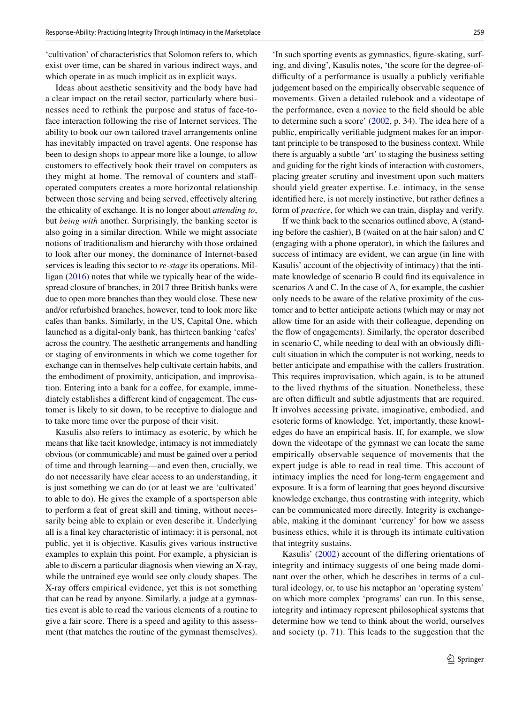'cultivation' of characteristics that Solomon refers to, which exist over time, can be shared in various indirect ways, and which operate in as much implicit as in explicit ways.

Ideas about aesthetic sensitivity and the body have had a clear impact on the retail sector, particularly where businesses need to rethink the purpose and status of face-toface interaction following the rise of Internet services. The ability to book our own tailored travel arrangements online has inevitably impacted on travel agents. One response has been to design shops to appear more like a lounge, to allow customers to effectively book their travel on computers as they might at home. The removal of counters and staffoperated computers creates a more horizontal relationship between those serving and being served, effectively altering the ethicality of exchange. It is no longer about *attending to*, but *being with* another. Surprisingly, the banking sector is also going in a similar direction. While we might associate notions of traditionalism and hierarchy with those ordained to look after our money, the dominance of Internet-based services is leading this sector to *re-stage* its operations. Mil-ligan ([2016](#page-11-29)) notes that while we typically hear of the widespread closure of branches, in 2017 three British banks were due to open more branches than they would close. These new and/or refurbished branches, however, tend to look more like cafes than banks. Similarly, in the US, Capital One, which launched as a digital-only bank, has thirteen banking 'cafes' across the country. The aesthetic arrangements and handling or staging of environments in which we come together for exchange can in themselves help cultivate certain habits, and the embodiment of proximity, anticipation, and improvisation. Entering into a bank for a coffee, for example, immediately establishes a different kind of engagement. The customer is likely to sit down, to be receptive to dialogue and to take more time over the purpose of their visit.

Kasulis also refers to intimacy as esoteric, by which he means that like tacit knowledge, intimacy is not immediately obvious (or communicable) and must be gained over a period of time and through learning—and even then, crucially, we do not necessarily have clear access to an understanding, it is just something we can do (or at least we are 'cultivated' to able to do). He gives the example of a sportsperson able to perform a feat of great skill and timing, without necessarily being able to explain or even describe it. Underlying all is a final key characteristic of intimacy: it is personal, not public, yet it is objective. Kasulis gives various instructive examples to explain this point. For example, a physician is able to discern a particular diagnosis when viewing an X-ray, while the untrained eye would see only cloudy shapes. The X-ray offers empirical evidence, yet this is not something that can be read by anyone. Similarly, a judge at a gymnastics event is able to read the various elements of a routine to give a fair score. There is a speed and agility to this assessment (that matches the routine of the gymnast themselves).

'In such sporting events as gymnastics, figure-skating, surfing, and diving', Kasulis notes, 'the score for the degree-ofdifficulty of a performance is usually a publicly verifiable judgement based on the empirically observable sequence of movements. Given a detailed rulebook and a videotape of the performance, even a novice to the field should be able to determine such a score' ([2002,](#page-11-2) p. 34). The idea here of a public, empirically verifiable judgment makes for an important principle to be transposed to the business context. While there is arguably a subtle 'art' to staging the business setting and guiding for the right kinds of interaction with customers, placing greater scrutiny and investment upon such matters should yield greater expertise. I.e. intimacy, in the sense identified here, is not merely instinctive, but rather defines a form of *practice*, for which we can train, display and verify.

If we think back to the scenarios outlined above, A (standing before the cashier), B (waited on at the hair salon) and C (engaging with a phone operator), in which the failures and success of intimacy are evident, we can argue (in line with Kasulis' account of the objectivity of intimacy) that the intimate knowledge of scenario B could find its equivalence in scenarios A and C. In the case of A, for example, the cashier only needs to be aware of the relative proximity of the customer and to better anticipate actions (which may or may not allow time for an aside with their colleague, depending on the flow of engagements). Similarly, the operator described in scenario C, while needing to deal with an obviously difficult situation in which the computer is not working, needs to better anticipate and empathise with the callers frustration. This requires improvisation, which again, is to be attuned to the lived rhythms of the situation. Nonetheless, these are often difficult and subtle adjustments that are required. It involves accessing private, imaginative, embodied, and esoteric forms of knowledge. Yet, importantly, these knowledges do have an empirical basis. If, for example, we slow down the videotape of the gymnast we can locate the same empirically observable sequence of movements that the expert judge is able to read in real time. This account of intimacy implies the need for long-term engagement and exposure. It is a form of learning that goes beyond discursive knowledge exchange, thus contrasting with integrity, which can be communicated more directly. Integrity is exchangeable, making it the dominant 'currency' for how we assess business ethics, while it is through its intimate cultivation that integrity sustains.

Kasulis' ([2002](#page-11-2)) account of the differing orientations of integrity and intimacy suggests of one being made dominant over the other, which he describes in terms of a cultural ideology, or, to use his metaphor an 'operating system' on which more complex 'programs' can run. In this sense, integrity and intimacy represent philosophical systems that determine how we tend to think about the world, ourselves and society (p. 71). This leads to the suggestion that the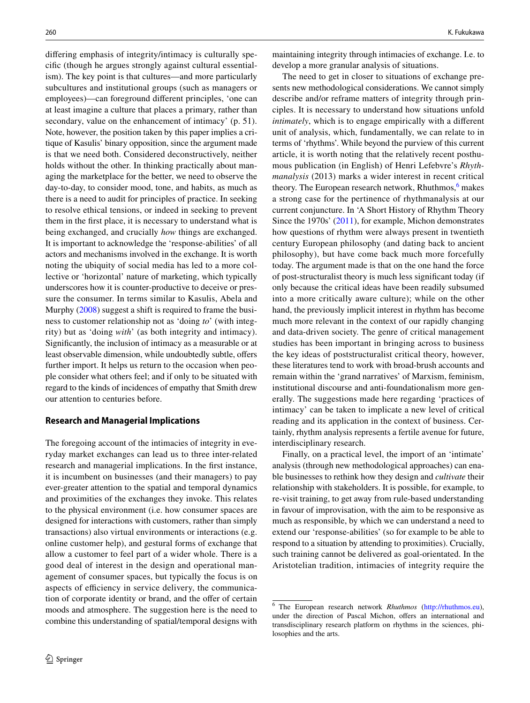differing emphasis of integrity/intimacy is culturally specific (though he argues strongly against cultural essentialism). The key point is that cultures—and more particularly subcultures and institutional groups (such as managers or employees)—can foreground different principles, 'one can at least imagine a culture that places a primary, rather than secondary, value on the enhancement of intimacy' (p. 51). Note, however, the position taken by this paper implies a critique of Kasulis' binary opposition, since the argument made is that we need both. Considered deconstructively, neither holds without the other. In thinking practically about managing the marketplace for the better, we need to observe the day-to-day, to consider mood, tone, and habits, as much as there is a need to audit for principles of practice. In seeking to resolve ethical tensions, or indeed in seeking to prevent them in the first place, it is necessary to understand what is being exchanged, and crucially *how* things are exchanged. It is important to acknowledge the 'response-abilities' of all actors and mechanisms involved in the exchange. It is worth noting the ubiquity of social media has led to a more collective or 'horizontal' nature of marketing, which typically underscores how it is counter-productive to deceive or pressure the consumer. In terms similar to Kasulis, Abela and Murphy [\(2008](#page-11-30)) suggest a shift is required to frame the business to customer relationship not as 'doing *to*' (with integrity) but as 'doing *with*' (as both integrity and intimacy). Significantly, the inclusion of intimacy as a measurable or at least observable dimension, while undoubtedly subtle, offers further import. It helps us return to the occasion when people consider what others feel; and if only to be situated with regard to the kinds of incidences of empathy that Smith drew our attention to centuries before.

#### **Research and Managerial Implications**

The foregoing account of the intimacies of integrity in everyday market exchanges can lead us to three inter-related research and managerial implications. In the first instance, it is incumbent on businesses (and their managers) to pay ever-greater attention to the spatial and temporal dynamics and proximities of the exchanges they invoke. This relates to the physical environment (i.e. how consumer spaces are designed for interactions with customers, rather than simply transactions) also virtual environments or interactions (e.g. online customer help), and gestural forms of exchange that allow a customer to feel part of a wider whole. There is a good deal of interest in the design and operational management of consumer spaces, but typically the focus is on aspects of efficiency in service delivery, the communication of corporate identity or brand, and the offer of certain moods and atmosphere. The suggestion here is the need to combine this understanding of spatial/temporal designs with maintaining integrity through intimacies of exchange. I.e. to develop a more granular analysis of situations.

The need to get in closer to situations of exchange presents new methodological considerations. We cannot simply describe and/or reframe matters of integrity through principles. It is necessary to understand how situations unfold *intimately*, which is to engage empirically with a different unit of analysis, which, fundamentally, we can relate to in terms of 'rhythms'. While beyond the purview of this current article, it is worth noting that the relatively recent posthumous publication (in English) of Henri Lefebvre's *Rhythmanalysis* (2013) marks a wider interest in recent critical theory. The European research network, Rhuthmos,<sup>[6](#page-9-0)</sup> makes a strong case for the pertinence of rhythmanalysis at our current conjuncture. In 'A Short History of Rhythm Theory Since the 1970s' ([2011\)](#page-11-31), for example, Michon demonstrates how questions of rhythm were always present in twentieth century European philosophy (and dating back to ancient philosophy), but have come back much more forcefully today. The argument made is that on the one hand the force of post-structuralist theory is much less significant today (if only because the critical ideas have been readily subsumed into a more critically aware culture); while on the other hand, the previously implicit interest in rhythm has become much more relevant in the context of our rapidly changing and data-driven society. The genre of critical management studies has been important in bringing across to business the key ideas of poststructuralist critical theory, however, these literatures tend to work with broad-brush accounts and remain within the 'grand narratives' of Marxism, feminism, institutional discourse and anti-foundationalism more generally. The suggestions made here regarding 'practices of intimacy' can be taken to implicate a new level of critical reading and its application in the context of business. Certainly, rhythm analysis represents a fertile avenue for future, interdisciplinary research.

Finally, on a practical level, the import of an 'intimate' analysis (through new methodological approaches) can enable businesses to rethink how they design and *cultivate* their relationship with stakeholders. It is possible, for example, to re-visit training, to get away from rule-based understanding in favour of improvisation, with the aim to be responsive as much as responsible, by which we can understand a need to extend our 'response-abilities' (so for example to be able to respond to a situation by attending to proximities). Crucially, such training cannot be delivered as goal-orientated. In the Aristotelian tradition, intimacies of integrity require the

<span id="page-9-0"></span><sup>6</sup> The European research network *Rhuthmos* (<http://rhuthmos.eu>), under the direction of Pascal Michon, offers an international and transdisciplinary research platform on rhythms in the sciences, philosophies and the arts.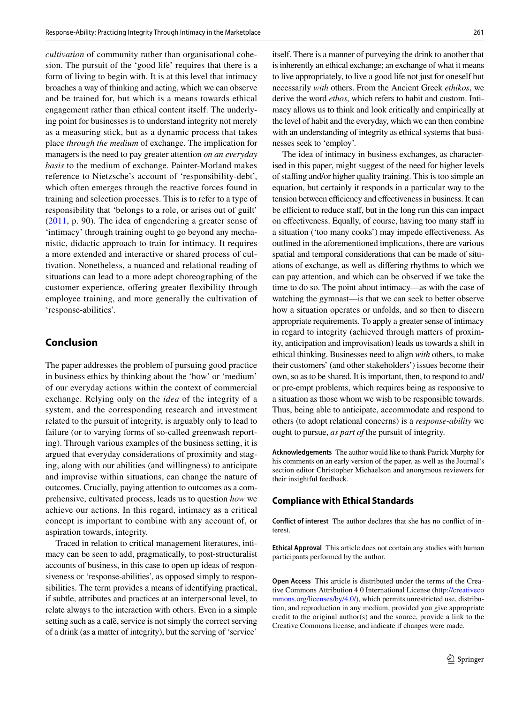*cultivation* of community rather than organisational cohesion. The pursuit of the 'good life' requires that there is a form of living to begin with. It is at this level that intimacy broaches a way of thinking and acting, which we can observe and be trained for, but which is a means towards ethical engagement rather than ethical content itself. The underlying point for businesses is to understand integrity not merely as a measuring stick, but as a dynamic process that takes place *through the medium* of exchange. The implication for managers is the need to pay greater attention *on an everyday basis* to the medium of exchange. Painter-Morland makes reference to Nietzsche's account of 'responsibility-debt', which often emerges through the reactive forces found in training and selection processes. This is to refer to a type of responsibility that 'belongs to a role, or arises out of guilt' [\(2011](#page-11-7), p. 90). The idea of engendering a greater sense of 'intimacy' through training ought to go beyond any mechanistic, didactic approach to train for intimacy. It requires a more extended and interactive or shared process of cultivation. Nonetheless, a nuanced and relational reading of situations can lead to a more adept choreographing of the customer experience, offering greater flexibility through employee training, and more generally the cultivation of 'response-abilities'.

### **Conclusion**

The paper addresses the problem of pursuing good practice in business ethics by thinking about the 'how' or 'medium' of our everyday actions within the context of commercial exchange. Relying only on the *idea* of the integrity of a system, and the corresponding research and investment related to the pursuit of integrity, is arguably only to lead to failure (or to varying forms of so-called greenwash reporting). Through various examples of the business setting, it is argued that everyday considerations of proximity and staging, along with our abilities (and willingness) to anticipate and improvise within situations, can change the nature of outcomes. Crucially, paying attention to outcomes as a comprehensive, cultivated process, leads us to question *how* we achieve our actions. In this regard, intimacy as a critical concept is important to combine with any account of, or aspiration towards, integrity.

Traced in relation to critical management literatures, intimacy can be seen to add, pragmatically, to post-structuralist accounts of business, in this case to open up ideas of responsiveness or 'response-abilities', as opposed simply to responsibilities. The term provides a means of identifying practical, if subtle, attributes and practices at an interpersonal level, to relate always to the interaction with others. Even in a simple setting such as a café, service is not simply the correct serving of a drink (as a matter of integrity), but the serving of 'service'

itself. There is a manner of purveying the drink to another that is inherently an ethical exchange; an exchange of what it means to live appropriately, to live a good life not just for oneself but necessarily *with* others. From the Ancient Greek *ethikos*, we derive the word *ethos*, which refers to habit and custom. Intimacy allows us to think and look critically and empirically at the level of habit and the everyday, which we can then combine with an understanding of integrity as ethical systems that businesses seek to 'employ'.

The idea of intimacy in business exchanges, as characterised in this paper, might suggest of the need for higher levels of staffing and/or higher quality training. This is too simple an equation, but certainly it responds in a particular way to the tension between efficiency and effectiveness in business. It can be efficient to reduce staff, but in the long run this can impact on effectiveness. Equally, of course, having too many staff in a situation ('too many cooks') may impede effectiveness. As outlined in the aforementioned implications, there are various spatial and temporal considerations that can be made of situations of exchange, as well as differing rhythms to which we can pay attention, and which can be observed if we take the time to do so. The point about intimacy—as with the case of watching the gymnast—is that we can seek to better observe how a situation operates or unfolds, and so then to discern appropriate requirements. To apply a greater sense of intimacy in regard to integrity (achieved through matters of proximity, anticipation and improvisation) leads us towards a shift in ethical thinking. Businesses need to align *with* others, to make their customers' (and other stakeholders') issues become their own, so as to be shared. It is important, then, to respond to and/ or pre-empt problems, which requires being as responsive to a situation as those whom we wish to be responsible towards. Thus, being able to anticipate, accommodate and respond to others (to adopt relational concerns) is a *response-ability* we ought to pursue, *as part of* the pursuit of integrity.

**Acknowledgements** The author would like to thank Patrick Murphy for his comments on an early version of the paper, as well as the Journal's section editor Christopher Michaelson and anonymous reviewers for their insightful feedback.

#### **Compliance with Ethical Standards**

**Conflict of interest** The author declares that she has no conflict of interest.

**Ethical Approval** This article does not contain any studies with human participants performed by the author.

**Open Access** This article is distributed under the terms of the Creative Commons Attribution 4.0 International License ([http://creativeco](http://creativecommons.org/licenses/by/4.0/) [mmons.org/licenses/by/4.0/](http://creativecommons.org/licenses/by/4.0/)), which permits unrestricted use, distribution, and reproduction in any medium, provided you give appropriate credit to the original author(s) and the source, provide a link to the Creative Commons license, and indicate if changes were made.